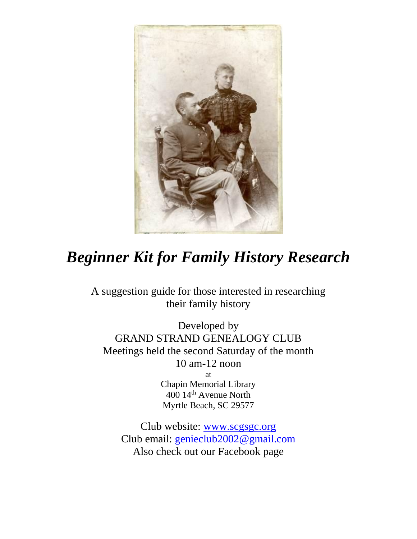

## *Beginner Kit for Family History Research*

A suggestion guide for those interested in researching their family history

Developed by GRAND STRAND GENEALOGY CLUB Meetings held the second Saturday of the month 10 am-12 noon at Chapin Memorial Library 400 14th Avenue North Myrtle Beach, SC 29577

Club website: [www.scgsgc.org](http://www.scgsgc.org/) Club email: [genieclub2002@gmail.com](mailto:genieclub2002@gmail.com) Also check out our Facebook page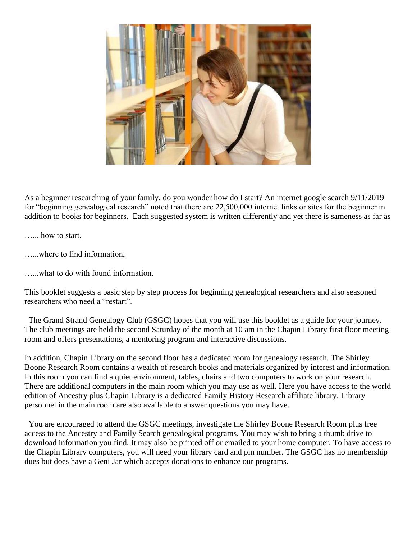

As a beginner researching of your family, do you wonder how do I start? An internet google search 9/11/2019 for "beginning genealogical research" noted that there are 22,500,000 internet links or sites for the beginner in addition to books for beginners. Each suggested system is written differently and yet there is sameness as far as

…... how to start,

…...where to find information,

…...what to do with found information.

This booklet suggests a basic step by step process for beginning genealogical researchers and also seasoned researchers who need a "restart".

The Grand Strand Genealogy Club (GSGC) hopes that you will use this booklet as a guide for your journey. The club meetings are held the second Saturday of the month at 10 am in the Chapin Library first floor meeting room and offers presentations, a mentoring program and interactive discussions.

In addition, Chapin Library on the second floor has a dedicated room for genealogy research. The Shirley Boone Research Room contains a wealth of research books and materials organized by interest and information. In this room you can find a quiet environment, tables, chairs and two computers to work on your research. There are additional computers in the main room which you may use as well. Here you have access to the world edition of Ancestry plus Chapin Library is a dedicated Family History Research affiliate library. Library personnel in the main room are also available to answer questions you may have.

You are encouraged to attend the GSGC meetings, investigate the Shirley Boone Research Room plus free access to the Ancestry and Family Search genealogical programs. You may wish to bring a thumb drive to download information you find. It may also be printed off or emailed to your home computer. To have access to the Chapin Library computers, you will need your library card and pin number. The GSGC has no membership dues but does have a Geni Jar which accepts donations to enhance our programs.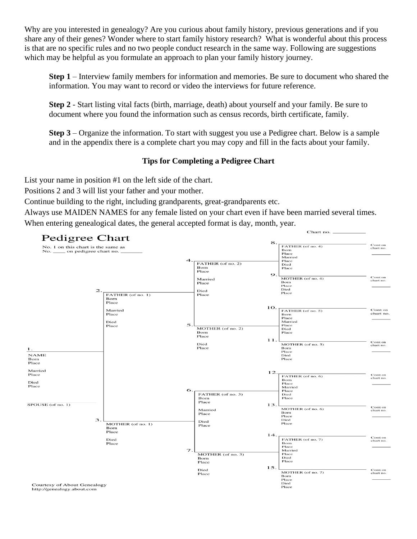Why are you interested in genealogy? Are you curious about family history, previous generations and if you share any of their genes? Wonder where to start family history research? What is wonderful about this process is that are no specific rules and no two people conduct research in the same way. Following are suggestions which may be helpful as you formulate an approach to plan your family history journey.

**Step 1** – Interview family members for information and memories. Be sure to document who shared the information. You may want to record or video the interviews for future reference.

**Step 2** - Start listing vital facts (birth, marriage, death) about yourself and your family. Be sure to document where you found the information such as census records, birth certificate, family.

**Step 3** – Organize the information. To start with suggest you use a Pedigree chart. Below is a sample and in the appendix there is a complete chart you may copy and fill in the facts about your family.

## **Tips for Completing a Pedigree Chart**

List your name in position #1 on the left side of the chart.

Positions 2 and 3 will list your father and your mother.

Continue building to the right, including grandparents, great-grandparents etc.

Always use MAIDEN NAMES for any female listed on your chart even if have been married several times. When entering genealogical dates, the general accepted format is day, month, year.

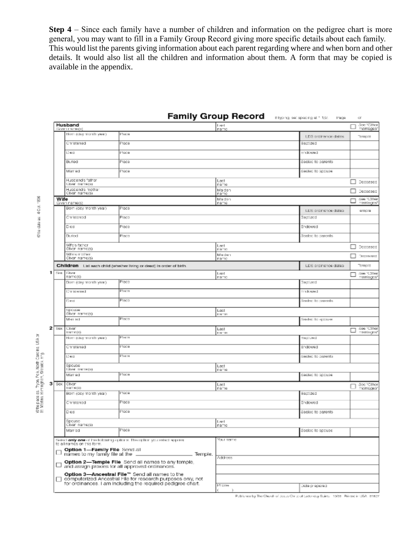**Step 4** – Since each family have a number of children and information on the pedigree chart is more general, you may want to fill in a Family Group Record giving more specific details about each family. This would list the parents giving information about each parent regarding where and when born and other details. It would also list all the children and information about them. A form that may be copied is available in the appendix.

|                              |                                                                                                                                                                              |                                                                                                       | <b>Family Group Record</b> | If typing, set spacing at 1.1,51.<br>Page | α                              |
|------------------------------|------------------------------------------------------------------------------------------------------------------------------------------------------------------------------|-------------------------------------------------------------------------------------------------------|----------------------------|-------------------------------------------|--------------------------------|
|                              | Husband<br><b>GIVET DATIBIÓ!</b>                                                                                                                                             |                                                                                                       | Lept<br>namg               |                                           | See "Citier<br>marriages'      |
|                              | blom (day month year)                                                                                                                                                        | Pace                                                                                                  |                            | LDS ordinance dates                       | Terricite                      |
|                              | Christened                                                                                                                                                                   | Piace                                                                                                 |                            | 5000200                                   |                                |
|                              | Deg                                                                                                                                                                          | Piace                                                                                                 |                            | Endowed                                   |                                |
|                              | Buriod                                                                                                                                                                       | Piace                                                                                                 |                            | Sealed to parents                         |                                |
|                              | Married                                                                                                                                                                      | Piace                                                                                                 |                            | Secied to spouse                          |                                |
|                              | Husband's father<br>Liver nameral                                                                                                                                            |                                                                                                       | Last                       |                                           | Decessed                       |
|                              | Husband's mother<br>Civen name(s)                                                                                                                                            |                                                                                                       | name<br>Maiden             |                                           | Decessed                       |
| Wife                         |                                                                                                                                                                              |                                                                                                       | namo<br>Maiden             |                                           | See "Ciner                     |
|                              | Given name(s)<br>Born (day month year)                                                                                                                                       | Place                                                                                                 | nama                       | LDS ordinance dates                       | mantages'<br>emale             |
|                              | Christonad                                                                                                                                                                   | Place                                                                                                 |                            | Baptizod                                  |                                |
|                              | Died                                                                                                                                                                         | Place                                                                                                 |                            | Endowed                                   |                                |
|                              | <b>Buried</b>                                                                                                                                                                | Place                                                                                                 |                            | Sealed to parents                         |                                |
|                              | Who's father                                                                                                                                                                 |                                                                                                       | Last                       |                                           | Doccesod                       |
|                              | Given name(s)<br>Who's mother                                                                                                                                                |                                                                                                       | <b>DISCRE</b><br>Maden     |                                           |                                |
|                              | Givon name(s)                                                                                                                                                                |                                                                                                       | namo                       |                                           | Testpera spect                 |
|                              |                                                                                                                                                                              | Children List each child (whether living or dead) in order of birth                                   |                            | LDS ordinance dates                       | Tomala                         |
| <b>Firms</b>                 | Eitere<br>namc(s)                                                                                                                                                            |                                                                                                       | Ligil<br>namo              |                                           | See 300 real<br>marriagos*     |
|                              | Born (day month year)                                                                                                                                                        | Place                                                                                                 |                            | Baptized                                  |                                |
|                              | Christened                                                                                                                                                                   | Placer                                                                                                |                            | trackwast                                 |                                |
|                              | Ded                                                                                                                                                                          | Place                                                                                                 |                            | Severed to corrents:                      |                                |
|                              | Spouse<br>Given name(s)                                                                                                                                                      |                                                                                                       | Lest<br><b>DINTER</b>      |                                           |                                |
|                              | Married                                                                                                                                                                      | Place                                                                                                 |                            | Seeded to spouse                          |                                |
| $2$ Sex                      | CMI<br>THEF REEST                                                                                                                                                            |                                                                                                       | Last<br><b>THEF</b>        |                                           | See "Cther<br><b>Terriages</b> |
|                              | Hom (day month year)                                                                                                                                                         | Placer                                                                                                |                            | 1801290                                   |                                |
|                              | Christened                                                                                                                                                                   | Piace                                                                                                 |                            | Endowed                                   |                                |
|                              | Deg                                                                                                                                                                          | Place                                                                                                 |                            | sested to parents                         |                                |
|                              | Spouse<br><b>GNHC ORTH(S)</b>                                                                                                                                                |                                                                                                       | Last                       |                                           |                                |
|                              | Married                                                                                                                                                                      | Pace                                                                                                  | name                       | Sealed to spouse                          |                                |
| $3$ $\sqrt{ }$ $\frac{1}{2}$ | Given<br>097909                                                                                                                                                              |                                                                                                       | Last                       |                                           | Sec "Cthor                     |
|                              | Born (day month year)                                                                                                                                                        | Piace                                                                                                 | name                       | Baptzed                                   | merrieges/                     |
|                              | Christonod                                                                                                                                                                   | Piace                                                                                                 |                            | Endowed                                   |                                |
|                              | Deal                                                                                                                                                                         | Piace                                                                                                 |                            | Sealed to parents                         |                                |
|                              | Spouse                                                                                                                                                                       |                                                                                                       | Leet                       |                                           |                                |
|                              | Civen name(s)<br>Marriad                                                                                                                                                     | Place                                                                                                 | name                       | Sealed to spouse                          |                                |
|                              |                                                                                                                                                                              | Select anty care of the following options. The option you select applies                              | Усил пасте                 |                                           |                                |
|                              | to all namés on this form.                                                                                                                                                   |                                                                                                       |                            |                                           |                                |
| □                            | Option 1-Family File Send all<br>names to my family file at the<br>Temple.                                                                                                   |                                                                                                       | Address                    |                                           |                                |
| $\Box$                       |                                                                                                                                                                              | Option 2-Temple File Send all names to any temple,<br>and assign proxies for all approved ordinances. |                            |                                           |                                |
|                              |                                                                                                                                                                              |                                                                                                       |                            |                                           |                                |
| п                            | Option 3-Ancestral File™ Send all names to the<br>computerized Ancestral File for research purposes only, not<br>for ordinances. I am including the required pedigree chart. |                                                                                                       |                            |                                           |                                |
|                              |                                                                                                                                                                              |                                                                                                       | Phone                      | Data prepared                             |                                |

Who date as: 4 Cet. 1896

Who pose as Tryot Polk Noth Carolina USA or<br>St. Mattina Elizmingham, Warwick, Erig